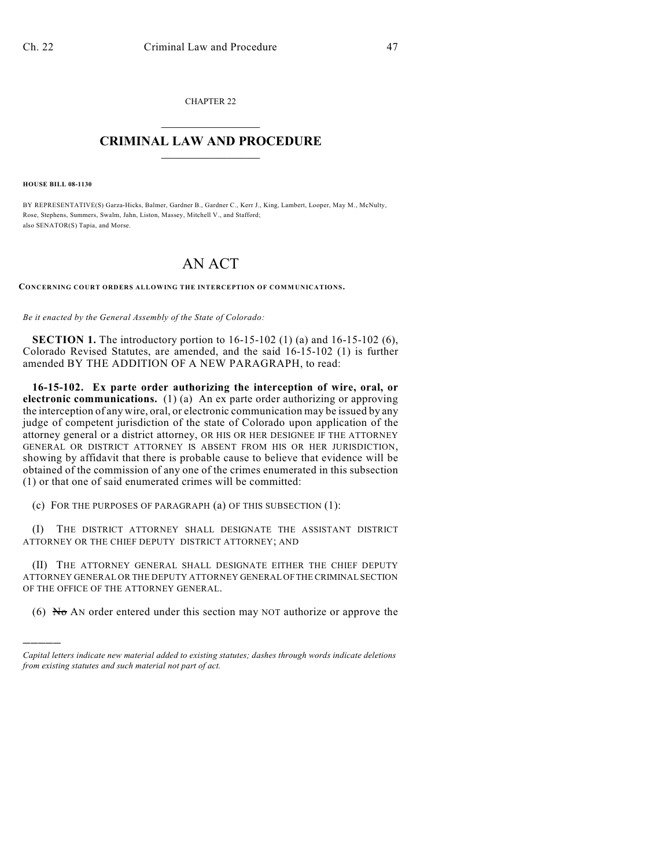CHAPTER 22  $\overline{\phantom{a}}$  . The set of the set of the set of the set of the set of the set of the set of the set of the set of the set of the set of the set of the set of the set of the set of the set of the set of the set of the set o

## **CRIMINAL LAW AND PROCEDURE**  $\frac{1}{2}$  ,  $\frac{1}{2}$  ,  $\frac{1}{2}$  ,  $\frac{1}{2}$  ,  $\frac{1}{2}$  ,  $\frac{1}{2}$  ,  $\frac{1}{2}$

**HOUSE BILL 08-1130**

)))))

BY REPRESENTATIVE(S) Garza-Hicks, Balmer, Gardner B., Gardner C., Kerr J., King, Lambert, Looper, May M., McNulty, Rose, Stephens, Summers, Swalm, Jahn, Liston, Massey, Mitchell V., and Stafford; also SENATOR(S) Tapia, and Morse.

## AN ACT

**CONCERNING COURT ORDERS ALLOWING THE INTERCEPTION OF COMMUNICATIONS.**

*Be it enacted by the General Assembly of the State of Colorado:*

**SECTION 1.** The introductory portion to 16-15-102 (1) (a) and 16-15-102 (6), Colorado Revised Statutes, are amended, and the said 16-15-102 (1) is further amended BY THE ADDITION OF A NEW PARAGRAPH, to read:

**16-15-102. Ex parte order authorizing the interception of wire, oral, or electronic communications.** (1) (a) An ex parte order authorizing or approving the interception of any wire, oral, or electronic communication may be issued by any judge of competent jurisdiction of the state of Colorado upon application of the attorney general or a district attorney, OR HIS OR HER DESIGNEE IF THE ATTORNEY GENERAL OR DISTRICT ATTORNEY IS ABSENT FROM HIS OR HER JURISDICTION, showing by affidavit that there is probable cause to believe that evidence will be obtained of the commission of any one of the crimes enumerated in this subsection (1) or that one of said enumerated crimes will be committed:

(c) FOR THE PURPOSES OF PARAGRAPH (a) OF THIS SUBSECTION (1):

(I) THE DISTRICT ATTORNEY SHALL DESIGNATE THE ASSISTANT DISTRICT ATTORNEY OR THE CHIEF DEPUTY DISTRICT ATTORNEY; AND

(II) THE ATTORNEY GENERAL SHALL DESIGNATE EITHER THE CHIEF DEPUTY ATTORNEY GENERAL OR THE DEPUTY ATTORNEY GENERAL OF THE CRIMINAL SECTION OF THE OFFICE OF THE ATTORNEY GENERAL.

(6) No AN order entered under this section may NOT authorize or approve the

*Capital letters indicate new material added to existing statutes; dashes through words indicate deletions from existing statutes and such material not part of act.*